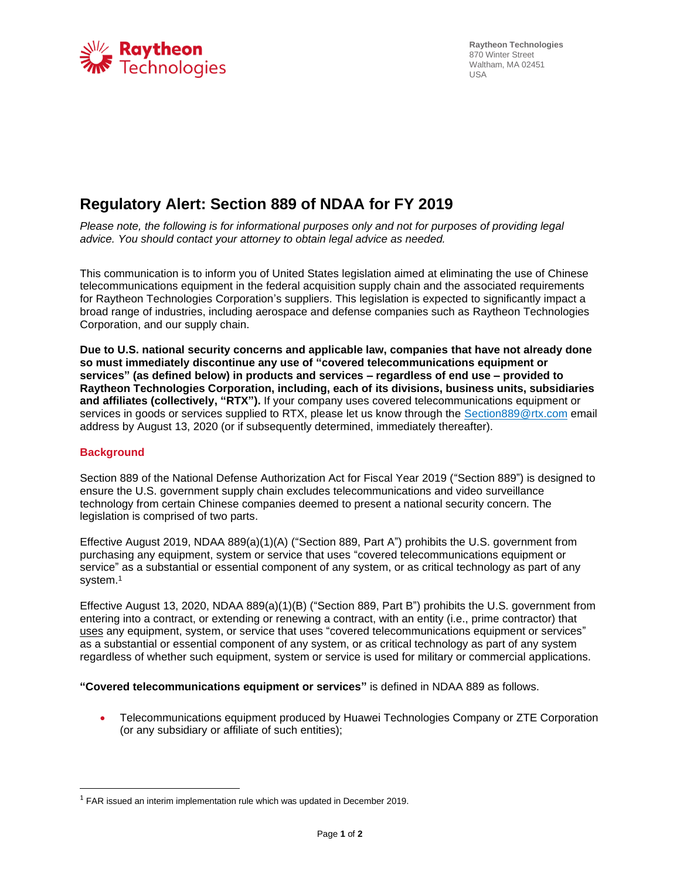

**Raytheon Technologies**  870 Winter Street Waltham, MA 02451 USA

## **Regulatory Alert: Section 889 of NDAA for FY 2019**

*Please note, the following is for informational purposes only and not for purposes of providing legal advice. You should contact your attorney to obtain legal advice as needed.*

This communication is to inform you of United States legislation aimed at eliminating the use of Chinese telecommunications equipment in the federal acquisition supply chain and the associated requirements for Raytheon Technologies Corporation's suppliers. This legislation is expected to significantly impact a broad range of industries, including aerospace and defense companies such as Raytheon Technologies Corporation, and our supply chain.

**Due to U.S. national security concerns and applicable law, companies that have not already done so must immediately discontinue any use of "covered telecommunications equipment or services" (as defined below) in products and services – regardless of end use – provided to Raytheon Technologies Corporation, including, each of its divisions, business units, subsidiaries and affiliates (collectively, "RTX").** If your company uses covered telecommunications equipment or services in goods or services supplied to RTX, please let us know through the [Section889@rtx.com](mailto:Section889@rtx.com) email address by August 13, 2020 (or if subsequently determined, immediately thereafter).

## **Background**

Section 889 of the National Defense Authorization Act for Fiscal Year 2019 ("Section 889") is designed to ensure the U.S. government supply chain excludes telecommunications and video surveillance technology from certain Chinese companies deemed to present a national security concern. The legislation is comprised of two parts.

Effective August 2019, NDAA 889(a)(1)(A) ("Section 889, Part A") prohibits the U.S. government from purchasing any equipment, system or service that uses "covered telecommunications equipment or service" as a substantial or essential component of any system, or as critical technology as part of any system. 1

Effective August 13, 2020, NDAA 889(a)(1)(B) ("Section 889, Part B") prohibits the U.S. government from entering into a contract, or extending or renewing a contract, with an entity (i.e., prime contractor) that uses any equipment, system, or service that uses "covered telecommunications equipment or services" as a substantial or essential component of any system, or as critical technology as part of any system regardless of whether such equipment, system or service is used for military or commercial applications.

**"Covered telecommunications equipment or services"** is defined in NDAA 889 as follows.

• Telecommunications equipment produced by Huawei Technologies Company or ZTE Corporation (or any subsidiary or affiliate of such entities);

 $1$  FAR issued an interim implementation rule which was updated in December 2019.